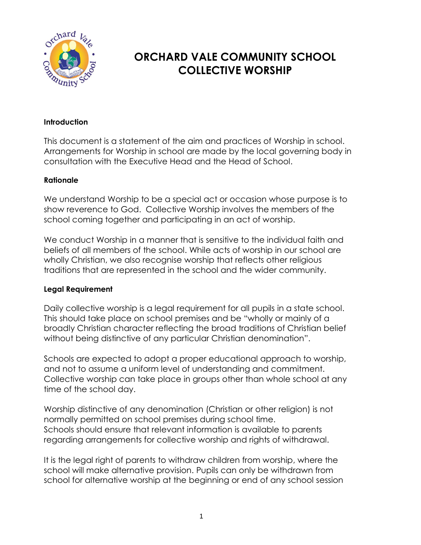

# **ORCHARD VALE COMMUNITY SCHOOL COLLECTIVE WORSHIP**

### **Introduction**

This document is a statement of the aim and practices of Worship in school. Arrangements for Worship in school are made by the local governing body in consultation with the Executive Head and the Head of School.

#### **Rationale**

We understand Worship to be a special act or occasion whose purpose is to show reverence to God. Collective Worship involves the members of the school coming together and participating in an act of worship.

We conduct Worship in a manner that is sensitive to the individual faith and beliefs of all members of the school. While acts of worship in our school are wholly Christian, we also recognise worship that reflects other religious traditions that are represented in the school and the wider community.

### **Legal Requirement**

Daily collective worship is a legal requirement for all pupils in a state school. This should take place on school premises and be "wholly or mainly of a broadly Christian character reflecting the broad traditions of Christian belief without being distinctive of any particular Christian denomination".

Schools are expected to adopt a proper educational approach to worship, and not to assume a uniform level of understanding and commitment. Collective worship can take place in groups other than whole school at any time of the school day.

Worship distinctive of any denomination (Christian or other religion) is not normally permitted on school premises during school time. Schools should ensure that relevant information is available to parents regarding arrangements for collective worship and rights of withdrawal.

It is the legal right of parents to withdraw children from worship, where the school will make alternative provision. Pupils can only be withdrawn from school for alternative worship at the beginning or end of any school session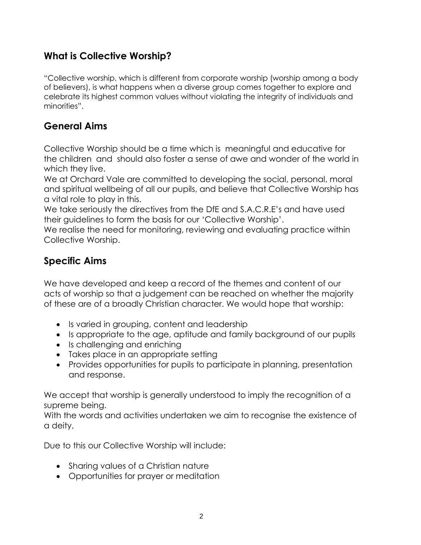## **What is Collective Worship?**

"Collective worship, which is different from corporate worship (worship among a body of believers), is what happens when a diverse group comes together to explore and celebrate its highest common values without violating the integrity of individuals and minorities".

## **General Aims**

Collective Worship should be a time which is meaningful and educative for the children and should also foster a sense of awe and wonder of the world in which they live.

We at Orchard Vale are committed to developing the social, personal, moral and spiritual wellbeing of all our pupils, and believe that Collective Worship has a vital role to play in this.

We take seriously the directives from the DfE and S.A.C.R.E's and have used their guidelines to form the basis for our 'Collective Worship'.

We realise the need for monitoring, reviewing and evaluating practice within Collective Worship.

## **Specific Aims**

We have developed and keep a record of the themes and content of our acts of worship so that a judgement can be reached on whether the majority of these are of a broadly Christian character. We would hope that worship:

- Is varied in grouping, content and leadership
- Is appropriate to the age, aptitude and family background of our pupils
- Is challenging and enriching
- Takes place in an appropriate setting
- Provides opportunities for pupils to participate in planning, presentation and response.

We accept that worship is generally understood to imply the recognition of a supreme being.

With the words and activities undertaken we aim to recognise the existence of a deity,

Due to this our Collective Worship will include:

- Sharing values of a Christian nature
- Opportunities for prayer or meditation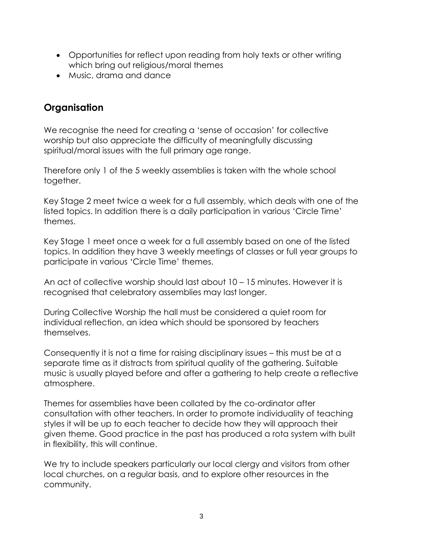- Opportunities for reflect upon reading from holy texts or other writing which bring out religious/moral themes
- Music, drama and dance

## **Organisation**

We recognise the need for creating a 'sense of occasion' for collective worship but also appreciate the difficulty of meaningfully discussing spiritual/moral issues with the full primary age range.

Therefore only 1 of the 5 weekly assemblies is taken with the whole school together.

Key Stage 2 meet twice a week for a full assembly, which deals with one of the listed topics. In addition there is a daily participation in various 'Circle Time' themes.

Key Stage 1 meet once a week for a full assembly based on one of the listed topics. In addition they have 3 weekly meetings of classes or full year groups to participate in various 'Circle Time' themes.

An act of collective worship should last about 10 – 15 minutes. However it is recognised that celebratory assemblies may last longer.

During Collective Worship the hall must be considered a quiet room for individual reflection, an idea which should be sponsored by teachers themselves.

Consequently it is not a time for raising disciplinary issues – this must be at a separate time as it distracts from spiritual quality of the gathering. Suitable music is usually played before and after a gathering to help create a reflective atmosphere.

Themes for assemblies have been collated by the co-ordinator after consultation with other teachers. In order to promote individuality of teaching styles it will be up to each teacher to decide how they will approach their given theme. Good practice in the past has produced a rota system with built in flexibility, this will continue.

We try to include speakers particularly our local clergy and visitors from other local churches, on a regular basis, and to explore other resources in the community.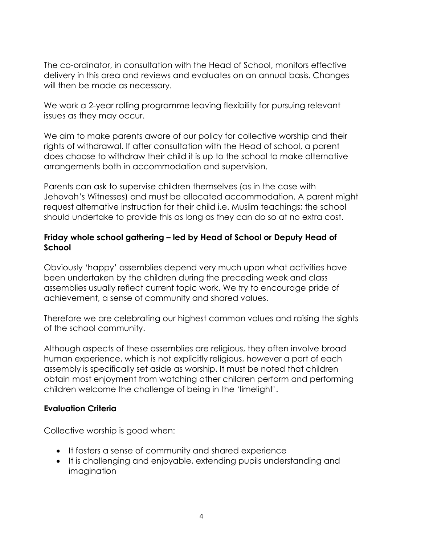The co-ordinator, in consultation with the Head of School, monitors effective delivery in this area and reviews and evaluates on an annual basis. Changes will then be made as necessary.

We work a 2-year rolling programme leaving flexibility for pursuing relevant issues as they may occur.

We aim to make parents aware of our policy for collective worship and their rights of withdrawal. If after consultation with the Head of school, a parent does choose to withdraw their child it is up to the school to make alternative arrangements both in accommodation and supervision.

Parents can ask to supervise children themselves (as in the case with Jehovah's Witnesses) and must be allocated accommodation. A parent might request alternative instruction for their child i.e. Muslim teachings; the school should undertake to provide this as long as they can do so at no extra cost.

### **Friday whole school gathering – led by Head of School or Deputy Head of School**

Obviously 'happy' assemblies depend very much upon what activities have been undertaken by the children during the preceding week and class assemblies usually reflect current topic work. We try to encourage pride of achievement, a sense of community and shared values.

Therefore we are celebrating our highest common values and raising the sights of the school community.

Although aspects of these assemblies are religious, they often involve broad human experience, which is not explicitly religious, however a part of each assembly is specifically set aside as worship. It must be noted that children obtain most enjoyment from watching other children perform and performing children welcome the challenge of being in the 'limelight'.

### **Evaluation Criteria**

Collective worship is good when:

- It fosters a sense of community and shared experience
- It is challenging and enjoyable, extending pupils understanding and imagination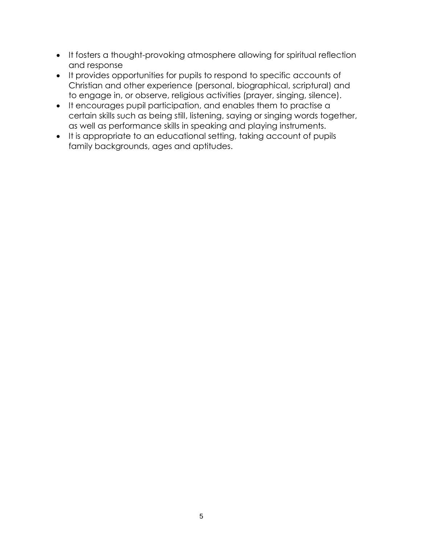- It fosters a thought-provoking atmosphere allowing for spiritual reflection and response
- It provides opportunities for pupils to respond to specific accounts of Christian and other experience (personal, biographical, scriptural) and to engage in, or observe, religious activities (prayer, singing, silence).
- It encourages pupil participation, and enables them to practise a certain skills such as being still, listening, saying or singing words together, as well as performance skills in speaking and playing instruments.
- It is appropriate to an educational setting, taking account of pupils family backgrounds, ages and aptitudes.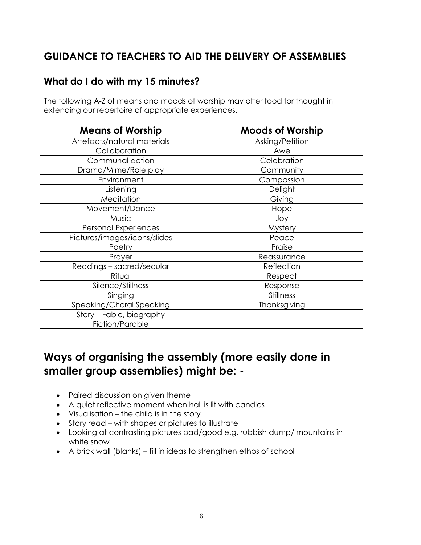# **GUIDANCE TO TEACHERS TO AID THE DELIVERY OF ASSEMBLIES**

## **What do I do with my 15 minutes?**

The following A-Z of means and moods of worship may offer food for thought in extending our repertoire of appropriate experiences.

| <b>Means of Worship</b>      | <b>Moods of Worship</b> |
|------------------------------|-------------------------|
| Artefacts/natural materials  | Asking/Petition         |
| Collaboration                | Awe                     |
| Communal action              | Celebration             |
| Drama/Mime/Role play         | Community               |
| Environment                  | Compassion              |
| Listening                    | Delight                 |
| Meditation                   | Giving                  |
| Movement/Dance               | Hope                    |
| Music                        | Joy                     |
| <b>Personal Experiences</b>  | Mystery                 |
| Pictures/images/icons/slides | Peace                   |
| Poetry                       | Praise                  |
| Prayer                       | Reassurance             |
| Readings - sacred/secular    | Reflection              |
| Ritual                       | Respect                 |
| Silence/Stillness            | Response                |
| Singing                      | <b>Stillness</b>        |
| Speaking/Choral Speaking     | Thanksgiving            |
| Story - Fable, biography     |                         |
| Fiction/Parable              |                         |

# **Ways of organising the assembly (more easily done in smaller group assemblies) might be: -**

- Paired discussion on given theme
- A quiet reflective moment when hall is lit with candles
- Visualisation the child is in the story
- Story read with shapes or pictures to illustrate
- Looking at contrasting pictures bad/good e.g. rubbish dump/ mountains in white snow
- A brick wall (blanks) fill in ideas to strengthen ethos of school